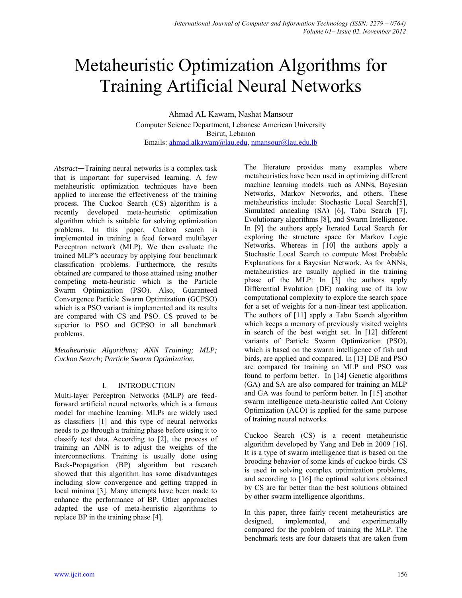# Metaheuristic Optimization Algorithms for Training Artificial Neural Networks

Ahmad AL Kawam, Nashat Mansour Computer Science Department, Lebanese American University Beirut, Lebanon Emails: [ahmad.alkawam@lau.edu,](mailto:ahmad.alkawam@lau.edu) [nmansour@lau.edu.lb](mailto:nmansour@lau.edu.lb) 

*Abstract*—Training neural networks is a complex task that is important for supervised learning. A few metaheuristic optimization techniques have been applied to increase the effectiveness of the training process. The Cuckoo Search (CS) algorithm is a recently developed meta-heuristic optimization algorithm which is suitable for solving optimization problems. In this paper, Cuckoo search is implemented in training a feed forward multilayer Perceptron network (MLP). We then evaluate the trained MLP"s accuracy by applying four benchmark classification problems. Furthermore, the results obtained are compared to those attained using another competing meta-heuristic which is the Particle Swarm Optimization (PSO). Also, Guaranteed Convergence Particle Swarm Optimization (GCPSO) which is a PSO variant is implemented and its results are compared with CS and PSO. CS proved to be superior to PSO and GCPSO in all benchmark problems.

*Metaheuristic Algorithms; ANN Training; MLP; Cuckoo Search; Particle Swarm Optimization.* 

# I. INTRODUCTION

Multi-layer Perceptron Networks (MLP) are feedforward artificial neural networks which is a famous model for machine learning. MLPs are widely used as classifiers [1] and this type of neural networks needs to go through a training phase before using it to classify test data. According to [2], the process of training an ANN is to adjust the weights of the interconnections. Training is usually done using Back-Propagation (BP) algorithm but research showed that this algorithm has some disadvantages including slow convergence and getting trapped in local minima [3]. Many attempts have been made to enhance the performance of BP. Other approaches adapted the use of meta-heuristic algorithms to replace BP in the training phase [4].

The literature provides many examples where metaheuristics have been used in optimizing different machine learning models such as ANNs, Bayesian Networks, Markov Networks, and others. These metaheuristics include: Stochastic Local Search[5], Simulated annealing (SA) [6], Tabu Search [7], Evolutionary algorithms [8], and Swarm Intelligence. In [9] the authors apply Iterated Local Search for exploring the structure space for Markov Logic Networks. Whereas in [10] the authors apply a Stochastic Local Search to compute Most Probable Explanations for a Bayesian Network. As for ANNs, metaheuristics are usually applied in the training phase of the MLP: In [3] the authors apply Differential Evolution (DE) making use of its low computational complexity to explore the search space for a set of weights for a non-linear test application. The authors of [11] apply a Tabu Search algorithm which keeps a memory of previously visited weights in search of the best weight set. In [12] different variants of Particle Swarm Optimization (PSO), which is based on the swarm intelligence of fish and birds, are applied and compared. In [13] DE and PSO are compared for training an MLP and PSO was found to perform better. In [14] Genetic algorithms (GA) and SA are also compared for training an MLP and GA was found to perform better. In [15] another swarm intelligence meta-heuristic called Ant Colony Optimization (ACO) is applied for the same purpose of training neural networks.

Cuckoo Search (CS) is a recent metaheuristic algorithm developed by Yang and Deb in 2009 [16]. It is a type of swarm intelligence that is based on the brooding behavior of some kinds of cuckoo birds. CS is used in solving complex optimization problems, and according to [16] the optimal solutions obtained by CS are far better than the best solutions obtained by other swarm intelligence algorithms.

In this paper, three fairly recent metaheuristics are designed, implemented, and experimentally compared for the problem of training the MLP. The benchmark tests are four datasets that are taken from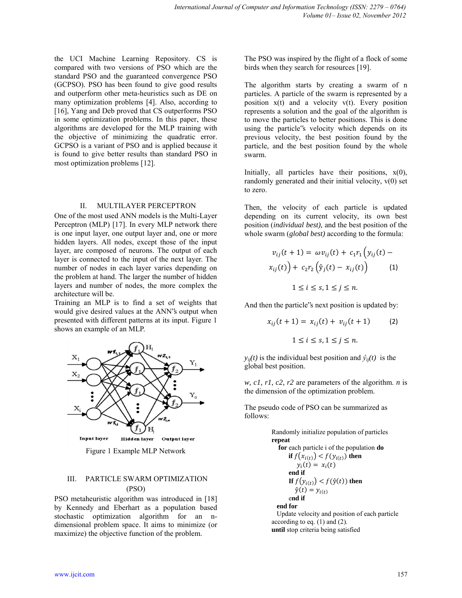the UCI Machine Learning Repository. CS is compared with two versions of PSO which are the standard PSO and the guaranteed convergence PSO (GCPSO). PSO has been found to give good results and outperform other meta-heuristics such as DE on many optimization problems [4]. Also, according to [16], Yang and Deb proved that CS outperforms PSO in some optimization problems. In this paper, these algorithms are developed for the MLP training with the objective of minimizing the quadratic error. GCPSO is a variant of PSO and is applied because it is found to give better results than standard PSO in most optimization problems [12].

#### II. MULTILAYER PERCEPTRON

One of the most used ANN models is the Multi-Layer Perceptron (MLP) [17]. In every MLP network there is one input layer, one output layer and, one or more hidden layers. All nodes, except those of the input layer, are composed of neurons. The output of each layer is connected to the input of the next layer. The number of nodes in each layer varies depending on the problem at hand. The larger the number of hidden layers and number of nodes, the more complex the architecture will be.

Training an MLP is to find a set of weights that would give desired values at the ANN"s output when presented with different patterns at its input. Figure 1 shows an example of an MLP.



Figure 1 Example MLP Network

# III. PARTICLE SWARM OPTIMIZATION (PSO)

PSO metaheuristic algorithm was introduced in [18] by Kennedy and Eberhart as a population based stochastic optimization algorithm for an ndimensional problem space. It aims to minimize (or maximize) the objective function of the problem.

The PSO was inspired by the flight of a flock of some birds when they search for resources [19].

The algorithm starts by creating a swarm of n particles. A particle of the swarm is represented by a position  $x(t)$  and a velocity  $v(t)$ . Every position represents a solution and the goal of the algorithm is to move the particles to better positions. This is done using the particle"s velocity which depends on its previous velocity, the best position found by the particle, and the best position found by the whole swarm.

Initially, all particles have their positions,  $x(0)$ , randomly generated and their initial velocity,  $v(0)$  set to zero.

Then, the velocity of each particle is updated depending on its current velocity, its own best position (*individual best),* and the best position of the whole swarm (*global best)* according to the formula:

$$
v_{ij}(t+1) = \omega v_{ij}(t) + c_1 r_1 \left( y_{ij}(t) - x_{ij}(t) \right) + c_2 r_2 \left( \hat{y}_j(t) - x_{ij}(t) \right) \tag{1}
$$

$$
1 \le i \le s, 1 \le j \le n.
$$

And then the particle"s next position is updated by:

$$
x_{ij}(t+1) = x_{ij}(t) + v_{ij}(t+1)
$$
 (2)  

$$
1 \le i \le s, 1 \le j \le n.
$$

 $y_{ij}(t)$  is the individual best position and  $\hat{y}_{ij}(t)$  is the global best position.

*w, c1, r1, c2, r2* are parameters of the algorithm. *n* is the dimension of the optimization problem.

The pseudo code of PSO can be summarized as follows:

> Randomly initialize population of particles **repeat for** each particle i of the population **do if**  $f(x_{i(t)}) < f(y_{i(t)})$  then  $y_i(t) = x_i(t)$  **end if If**  $f(y_{i(t)}) < f(\hat{y}(t))$  then  $\hat{y}(t) = y_{i(t)}$  e**nd if end for**  Update velocity and position of each particle according to eq.  $(1)$  and  $(2)$ .

**until** stop criteria being satisfied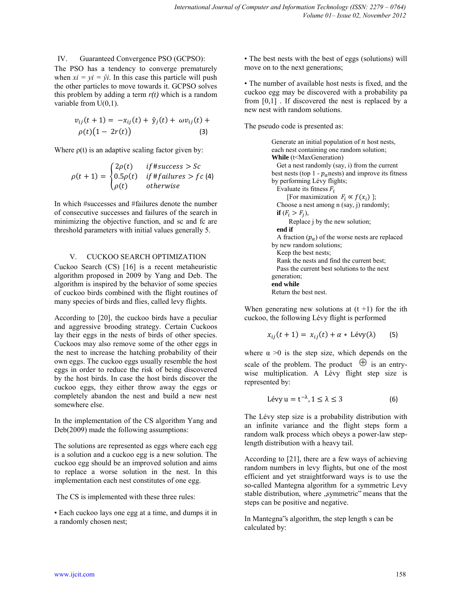## IV. Guaranteed Convergence PSO (GCPSO):

The PSO has a tendency to converge prematurely when  $xi = yi = \hat{y}i$ . In this case this particle will push the other particles to move towards it. GCPSO solves this problem by adding a term  $r(t)$  which is a random variable from U(0,1).

$$
v_{ij}(t+1) = -x_{ij}(t) + \hat{y}_j(t) + \omega v_{ij}(t) +
$$
  
\n
$$
\rho(t)(1 - 2r(t))
$$
\n(3)

Where  $\rho(t)$  is an adaptive scaling factor given by:

$$
\rho(t+1) = \begin{cases}\n2\rho(t) & \text{if } \text{#success} > Sc \\
0.5\rho(t) & \text{if } \text{#failures} > fc\left(4\right) \\
\rho(t) & \text{otherwise}\n\end{cases}
$$

In which #successes and #failures denote the number of consecutive successes and failures of the search in minimizing the objective function, and sc and fc are threshold parameters with initial values generally 5.

## V. CUCKOO SEARCH OPTIMIZATION

Cuckoo Search (CS) [16] is a recent metaheuristic algorithm proposed in 2009 by Yang and Deb. The algorithm is inspired by the behavior of some species of cuckoo birds combined with the flight routines of many species of birds and flies, called levy flights.

According to [20], the cuckoo birds have a peculiar and aggressive brooding strategy. Certain Cuckoos lay their eggs in the nests of birds of other species. Cuckoos may also remove some of the other eggs in the nest to increase the hatching probability of their own eggs. The cuckoo eggs usually resemble the host eggs in order to reduce the risk of being discovered by the host birds. In case the host birds discover the cuckoo eggs, they either throw away the eggs or completely abandon the nest and build a new nest somewhere else.

In the implementation of the CS algorithm Yang and Deb(2009) made the following assumptions:

The solutions are represented as eggs where each egg is a solution and a cuckoo egg is a new solution. The cuckoo egg should be an improved solution and aims to replace a worse solution in the nest. In this implementation each nest constitutes of one egg.

The CS is implemented with these three rules:

• Each cuckoo lays one egg at a time, and dumps it in a randomly chosen nest;

• The best nests with the best of eggs (solutions) will move on to the next generations;

• The number of available host nests is fixed, and the cuckoo egg may be discovered with a probability pa from [0,1] . If discovered the nest is replaced by a new nest with random solutions.

The pseudo code is presented as:

Generate an initial population of  $n$  host nests, each nest containing one random solution; **While** (t<MaxGeneration) Get a nest randomly (say, i) from the current best nests (top 1 -  $p_a$  nests) and improve its fitness by performing Lévy flights; Evaluate its fitness  $F_i$ [For maximization  $F_i \propto f(x_i)$ ]; Choose a nest among n (say, j) randomly; **if**  $(F_i > F_j)$ , Replace j by the new solution; **end if**  A fraction  $(p_a)$  of the worse nests are replaced by new random solutions; Keep the best nests; Rank the nests and find the current best; Pass the current best solutions to the next generation; **end while**  Return the best nest.

When generating new solutions at  $(t + 1)$  for the ith cuckoo, the following Lévy flight is performed

$$
x_{ij}(t+1) = x_{ij}(t) + \alpha * \text{Lévy}(\lambda) \tag{5}
$$

where  $\alpha > 0$  is the step size, which depends on the scale of the problem. The product  $\oplus$  is an entrywise multiplication. A Lévy flight step size is represented by:

$$
Lévy u = t^{-\lambda}, 1 \le \lambda \le 3
$$
 (6)

The Lévy step size is a probability distribution with an infinite variance and the flight steps form a random walk process which obeys a power-law steplength distribution with a heavy tail.

According to [21], there are a few ways of achieving random numbers in levy flights, but one of the most efficient and yet straightforward ways is to use the so-called Mantegna algorithm for a symmetric Levy stable distribution, where ,symmetric" means that the steps can be positive and negative.

In Mantegna"s algorithm, the step length s can be calculated by: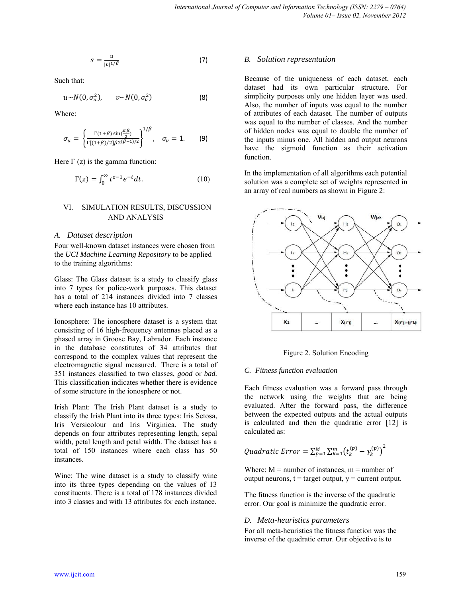$$
s = \frac{u}{|v|^{1/\beta}}\tag{7}
$$

Such that:

$$
u \sim N(0, \sigma_u^2), \qquad v \sim N(0, \sigma_v^2) \tag{8}
$$

Where:

$$
\sigma_u = \left\{ \frac{\Gamma(1+\beta)\sin(\frac{\pi\beta}{2})}{\Gamma[(1+\beta)/2]\beta 2^{(\beta-1)/2}} \right\}^{1/\beta}, \quad \sigma_v = 1.
$$
 (9)

Here  $\Gamma$  (z) is the gamma function:

$$
\Gamma(z) = \int_0^\infty t^{z-1} e^{-t} dt. \tag{10}
$$

## VI. SIMULATION RESULTS, DISCUSSION AND ANALYSIS

#### *A. Dataset description*

Four well-known dataset instances were chosen from the *UCI Machine Learning Repository* to be applied to the training algorithms:

Glass: The Glass dataset is a study to classify glass into 7 types for police-work purposes. This dataset has a total of 214 instances divided into 7 classes where each instance has 10 attributes.

Ionosphere: The ionosphere dataset is a system that consisting of 16 high-frequency antennas placed as a phased array in Groose Bay, Labrador. Each instance in the database constitutes of 34 attributes that correspond to the complex values that represent the electromagnetic signal measured. There is a total of 351 instances classified to two classes, *good* or *bad.*  This classification indicates whether there is evidence of some structure in the ionosphere or not.

Irish Plant: The Irish Plant dataset is a study to classify the Irish Plant into its three types: Iris Setosa, Iris Versicolour and Iris Virginica. The study depends on four attributes representing length, sepal width, petal length and petal width. The dataset has a total of 150 instances where each class has 50 instances.

Wine: The wine dataset is a study to classify wine into its three types depending on the values of 13 constituents. There is a total of 178 instances divided into 3 classes and with 13 attributes for each instance.

### *B. Solution representation*

Because of the uniqueness of each dataset, each dataset had its own particular structure. For simplicity purposes only one hidden layer was used. Also, the number of inputs was equal to the number of attributes of each dataset. The number of outputs was equal to the number of classes. And the number of hidden nodes was equal to double the number of the inputs minus one. All hidden and output neurons have the sigmoid function as their activation function.

In the implementation of all algorithms each potential solution was a complete set of weights represented in an array of real numbers as shown in Figure 2:



Figure 2. Solution Encoding

#### *C. Fitness function evaluation*

Each fitness evaluation was a forward pass through the network using the weights that are being evaluated. After the forward pass, the difference between the expected outputs and the actual outputs is calculated and then the quadratic error [12] is calculated as:

*Quadratic Error* = 
$$
\sum_{p=1}^{M} \sum_{k=1}^{m} (t_k^{(p)} - y_k^{(p)})^2
$$

Where:  $M =$  number of instances,  $m =$  number of output neurons,  $t = \text{target output}, v = \text{current output}.$ 

The fitness function is the inverse of the quadratic error. Our goal is minimize the quadratic error.

#### *D. Meta-heuristics parameters*

For all meta-heuristics the fitness function was the inverse of the quadratic error. Our objective is to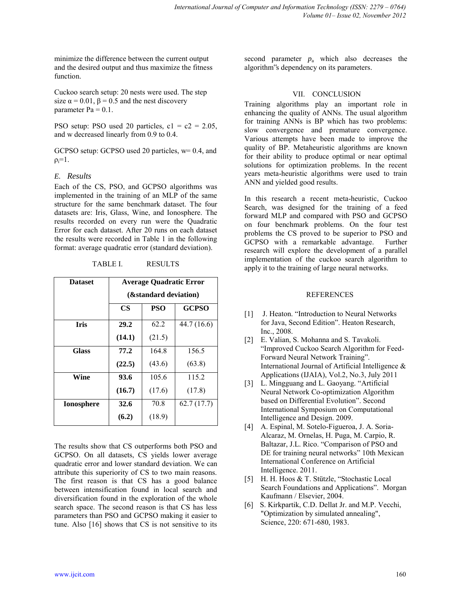minimize the difference between the current output and the desired output and thus maximize the fitness function.

Cuckoo search setup: 20 nests were used. The step size  $\alpha = 0.01$ ,  $\beta = 0.5$  and the nest discovery parameter  $Pa = 0.1$ .

PSO setup: PSO used 20 particles,  $c1 = c2 = 2.05$ , and w decreased linearly from 0.9 to 0.4.

GCPSO setup: GCPSO used 20 particles, w= 0.4, and  $\rho_i=1$ .

## *E. Results*

Each of the CS, PSO, and GCPSO algorithms was implemented in the training of an MLP of the same structure for the same benchmark dataset. The four datasets are: Iris, Glass, Wine, and Ionosphere. The results recorded on every run were the Quadratic Error for each dataset. After 20 runs on each dataset the results were recorded in Table 1 in the following format: average quadratic error (standard deviation).

TABLE I. RESULTS

| <b>Dataset</b>    | <b>Average Quadratic Error</b> |            |              |
|-------------------|--------------------------------|------------|--------------|
|                   | (&standard deviation)          |            |              |
|                   | <b>CS</b>                      | <b>PSO</b> | <b>GCPSO</b> |
| <b>Iris</b>       | 29.2                           | 62.2       | 44.7 (16.6)  |
|                   | (14.1)                         | (21.5)     |              |
| <b>Glass</b>      | 77.2                           | 164.8      | 156.5        |
|                   | (22.5)                         | (43.6)     | (63.8)       |
| Wine              | 93.6                           | 105.6      | 115.2        |
|                   | (16.7)                         | (17.6)     | (17.8)       |
| <b>Ionosphere</b> | 32.6                           | 70.8       | 62.7(17.7)   |
|                   | (6.2)                          | (18.9)     |              |

The results show that CS outperforms both PSO and GCPSO. On all datasets, CS yields lower average quadratic error and lower standard deviation. We can attribute this superiority of CS to two main reasons. The first reason is that CS has a good balance between intensification found in local search and diversification found in the exploration of the whole search space. The second reason is that CS has less parameters than PSO and GCPSO making it easier to tune. Also [16] shows that CS is not sensitive to its

second parameter  $p_a$  which also decreases the algorithm"s dependency on its parameters.

## VII. CONCLUSION

Training algorithms play an important role in enhancing the quality of ANNs. The usual algorithm for training ANNs is BP which has two problems: slow convergence and premature convergence. Various attempts have been made to improve the quality of BP. Metaheuristic algorithms are known for their ability to produce optimal or near optimal solutions for optimization problems. In the recent years meta-heuristic algorithms were used to train ANN and yielded good results.

In this research a recent meta-heuristic, Cuckoo Search, was designed for the training of a feed forward MLP and compared with PSO and GCPSO on four benchmark problems. On the four test problems the CS proved to be superior to PSO and GCPSO with a remarkable advantage. Further research will explore the development of a parallel implementation of the cuckoo search algorithm to apply it to the training of large neural networks.

## REFERENCES

- [1] J. Heaton. "Introduction to Neural Networks" for Java, Second Edition". Heaton Research, Inc., 2008.
- [2] E. Valian, S. Mohanna and S. Tavakoli. "Improved Cuckoo Search Algorithm for Feed-Forward Neural Network Training". International Journal of Artificial Intelligence & Applications (IJAIA), Vol.2, No.3, July 2011
- [3] L. Mingguang and L. Gaoyang. "Artificial Neural Network Co-optimization Algorithm based on Differential Evolution". Second International Symposium on Computational Intelligence and Design. 2009.
- [4] A. Espinal, M. Sotelo-Figueroa, J. A. Soria-Alcaraz, M. Ornelas, H. Puga, M. Carpio, R. Baltazar, J.L. Rico. "Comparison of PSO and DE for training neural networks" 10th Mexican International Conference on Artificial Intelligence. 2011.
- [5] H. H. Hoos & T. Stützle, "Stochastic Local Search Foundations and Applications". Morgan Kaufmann / Elsevier, 2004.
- [6] S. Kirkpartik, C.D. Dellat Jr. and M.P. Vecchi, "Optimization by simulated annealing", Science, 220: 671-680, 1983.